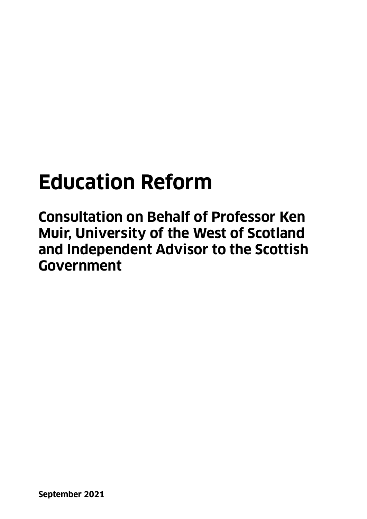# **Education Reform**

**Consultation on Behalf of Professor Ken Muir, University of the West of Scotland and Independent Advisor to the Scottish Government**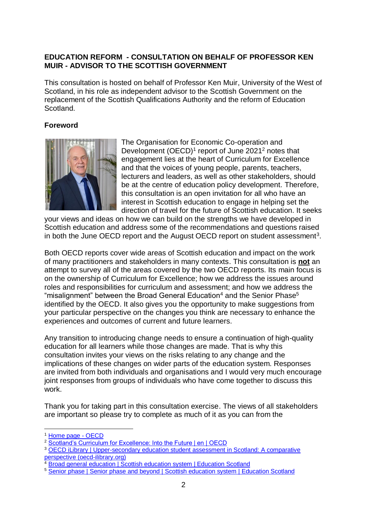#### **EDUCATION REFORM - CONSULTATION ON BEHALF OF PROFESSOR KEN MUIR - ADVISOR TO THE SCOTTISH GOVERNMENT**

This consultation is hosted on behalf of Professor Ken Muir, University of the West of Scotland, in his role as independent advisor to the Scottish Government on the replacement of the Scottish Qualifications Authority and the reform of Education Scotland.

#### **Foreword**



The Organisation for Economic Co-operation and Development  $(OECD)^1$  report of June 2021<sup>2</sup> notes that engagement lies at the heart of Curriculum for Excellence and that the voices of young people, parents, teachers, lecturers and leaders, as well as other stakeholders, should be at the centre of education policy development. Therefore, this consultation is an open invitation for all who have an interest in Scottish education to engage in helping set the direction of travel for the future of Scottish education. It seeks

your views and ideas on how we can build on the strengths we have developed in Scottish education and address some of the recommendations and questions raised in both the June OECD report and the August OECD report on student assessment<sup>3</sup>.

Both OECD reports cover wide areas of Scottish education and impact on the work of many practitioners and stakeholders in many contexts. This consultation is **not** an attempt to survey all of the areas covered by the two OECD reports. Its main focus is on the ownership of Curriculum for Excellence; how we address the issues around roles and responsibilities for curriculum and assessment; and how we address the "misalignment" between the Broad General Education<sup>4</sup> and the Senior Phase<sup>5</sup> identified by the OECD. It also gives you the opportunity to make suggestions from your particular perspective on the changes you think are necessary to enhance the experiences and outcomes of current and future learners.

Any transition to introducing change needs to ensure a continuation of high-quality education for all learners while those changes are made. That is why this consultation invites your views on the risks relating to any change and the implications of these changes on wider parts of the education system. Responses are invited from both individuals and organisations and I would very much encourage joint responses from groups of individuals who have come together to discuss this work.

Thank you for taking part in this consultation exercise. The views of all stakeholders are important so please try to complete as much of it as you can from the

1

<sup>1</sup> [Home page -](https://www.oecd.org/) OECD

<sup>&</sup>lt;sup>2</sup> [Scotland's Curriculum for Excellence: Into the Future | en | OECD](https://www.oecd.org/education/scotland-s-curriculum-for-excellence-bf624417-en.htm)

<sup>3</sup> [OECD iLibrary | Upper-secondary education student assessment in Scotland: A comparative](https://www.oecd-ilibrary.org/education/upper-secondary-education-student-assessment-in-scotland_d8785ddf-en)  [perspective \(oecd-ilibrary.org\)](https://www.oecd-ilibrary.org/education/upper-secondary-education-student-assessment-in-scotland_d8785ddf-en)

<sup>&</sup>lt;sup>4</sup> [Broad general education | Scottish education system | Education Scotland](https://education.gov.scot/education-scotland/scottish-education-system/broad-general-education/)

<sup>&</sup>lt;sup>5</sup> [Senior phase | Senior phase and beyond | Scottish education system | Education Scotland](https://education.gov.scot/education-scotland/scottish-education-system/senior-phase-and-beyond/senior-phase/)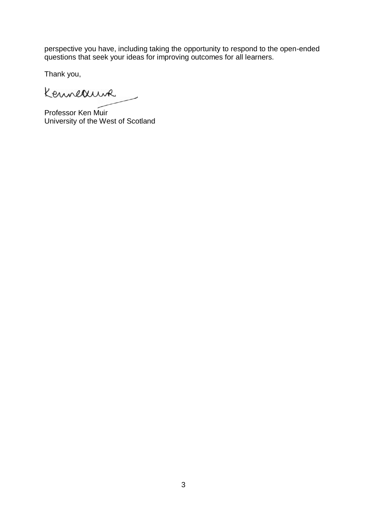perspective you have, including taking the opportunity to respond to the open-ended questions that seek your ideas for improving outcomes for all learners.

Thank you,

Kenneauna

Professor Ken Muir University of the West of Scotland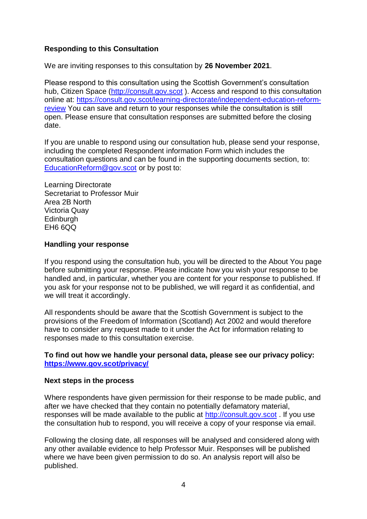#### **Responding to this Consultation**

We are inviting responses to this consultation by **26 November 2021**.

Please respond to this consultation using the Scottish Government's consultation hub, Citizen Space [\(http://consult.gov.scot](http://consult.gov.scot/)). Access and respond to this consultation online at: [https://consult.gov.scot/learning-directorate/independent-education-reform](https://consult.gov.scot/learning-directorate/independent-education-reform-review)[review](https://consult.gov.scot/learning-directorate/independent-education-reform-review) You can save and return to your responses while the consultation is still open. Please ensure that consultation responses are submitted before the closing date.

If you are unable to respond using our consultation hub, please send your response, including the completed Respondent information Form which includes the consultation questions and can be found in the [supporting documents section,](https://www.gov.scot/isbn/9781802014327/documents/) to: [EducationReform@gov.scot](mailto:EducationReform@gov.scot) or by post to:

Learning Directorate Secretariat to Professor Muir Area 2B North Victoria Quay **Edinburgh** EH6 6QQ

#### **Handling your response**

If you respond using the consultation hub, you will be directed to the About You page before submitting your response. Please indicate how you wish your response to be handled and, in particular, whether you are content for your response to published. If you ask for your response not to be published, we will regard it as confidential, and we will treat it accordingly.

All respondents should be aware that the Scottish Government is subject to the provisions of the Freedom of Information (Scotland) Act 2002 and would therefore have to consider any request made to it under the Act for information relating to responses made to this consultation exercise.

#### **To find out how we handle your personal data, please see our privacy policy: <https://www.gov.scot/privacy/>**

#### **Next steps in the process**

Where respondents have given permission for their response to be made public, and after we have checked that they contain no potentially defamatory material, responses will be made available to the public at [http://consult.gov.scot](http://consult.gov.scot/) . If you use the consultation hub to respond, you will receive a copy of your response via email.

Following the closing date, all responses will be analysed and considered along with any other available evidence to help Professor Muir. Responses will be published where we have been given permission to do so. An analysis report will also be published.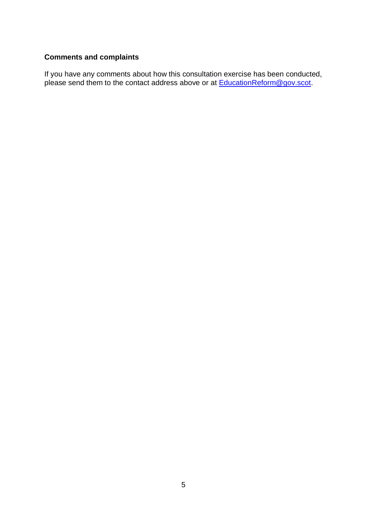# **Comments and complaints**

If you have any comments about how this consultation exercise has been conducted, please send them to the contact address above or at **EducationReform@gov.scot**.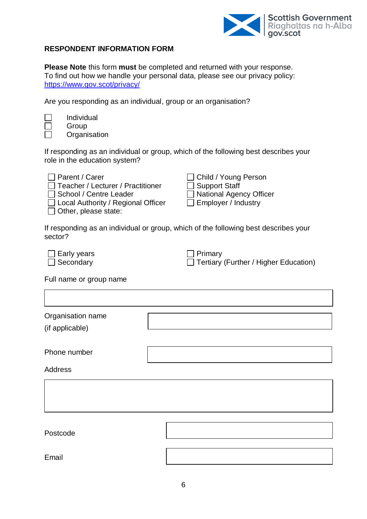

٦

#### **RESPONDENT INFORMATION FORM**

**Please Note** this form **must** be completed and returned with your response. To find out how we handle your personal data, please see our privacy policy: <https://www.gov.scot/privacy/>

Are you responding as an individual, group or an organisation?

 $\overline{\Gamma}$ 

Individual Group **Organisation** 

If responding as an individual or group, which of the following best describes your role in the education system?

| $\Box$ Parent / Carer                     | □ Child / Young Person    |
|-------------------------------------------|---------------------------|
| $\Box$ Teacher / Lecturer / Practitioner  | $\Box$ Support Staff      |
| School / Centre Leader                    | □ National Agency Officer |
| $\Box$ Local Authority / Regional Officer | Employer / Industry       |
| $\Box$ Other, please state:               |                           |

If responding as an individual or group, which of the following best describes your sector?

| $\Box$ Early years | $\Box$ Primary                        |
|--------------------|---------------------------------------|
| $\Box$ Secondary   | Tertiary (Further / Higher Education) |

Full name or group name

| Organisation name<br>(if applicable) |  |
|--------------------------------------|--|
| Phone number                         |  |
| <b>Address</b>                       |  |
|                                      |  |
|                                      |  |
| Postcode                             |  |
| Email                                |  |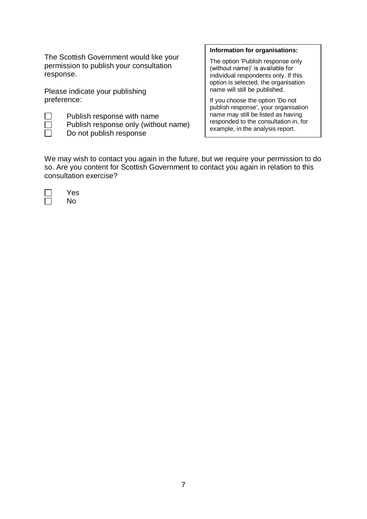The Scottish Government would like your permission to publish your consultation response.

Please indicate your publishing preference:

Publish response with name Publish response only (without name) Do not publish response

#### **Information for organisations:**

The option 'Publish response only (without name)' is available for individual respondents only. If this option is selected, the organisation name will still be published.

If you choose the option 'Do not publish response', your organisation name may still be listed as having responded to the consultation in, for example, in the analysis report.

We may wish to contact you again in the future, but we require your permission to do so. Are you content for Scottish Government to contact you again in relation to this consultation exercise?

Yes No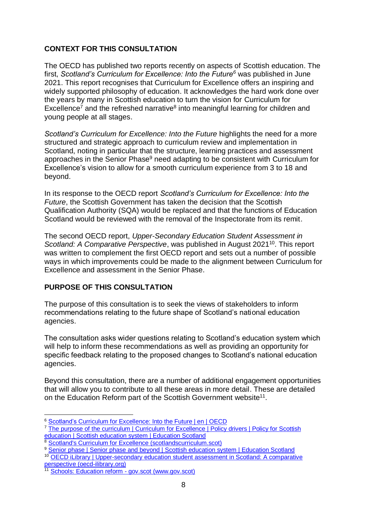# **CONTEXT FOR THIS CONSULTATION**

The OECD has published two reports recently on aspects of Scottish education. The first, *Scotland's Curriculum for Excellence: Into the Future<sup>6</sup>* was published in June 2021. This report recognises that Curriculum for Excellence offers an inspiring and widely supported philosophy of education. It acknowledges the hard work done over the years by many in Scottish education to turn the vision for Curriculum for Excellence<sup>7</sup> and the refreshed narrative<sup>8</sup> into meaningful learning for children and young people at all stages.

*Scotland's Curriculum for Excellence: Into the Future* highlights the need for a more structured and strategic approach to curriculum review and implementation in Scotland, noting in particular that the structure, learning practices and assessment approaches in the Senior Phase<sup>9</sup> need adapting to be consistent with Curriculum for Excellence's vision to allow for a smooth curriculum experience from 3 to 18 and beyond.

In its response to the OECD report *Scotland's Curriculum for Excellence: Into the Future*, the Scottish Government has taken the decision that the Scottish Qualification Authority (SQA) would be replaced and that the functions of Education Scotland would be reviewed with the removal of the Inspectorate from its remit.

The second OECD report, *Upper-Secondary Education Student Assessment in*  Scotland: A Comparative Perspective, was published in August 2021<sup>10</sup>. This report was written to complement the first OECD report and sets out a number of possible ways in which improvements could be made to the alignment between Curriculum for Excellence and assessment in the Senior Phase.

### **PURPOSE OF THIS CONSULTATION**

The purpose of this consultation is to seek the views of stakeholders to inform recommendations relating to the future shape of Scotland's national education agencies.

The consultation asks wider questions relating to Scotland's education system which will help to inform these recommendations as well as providing an opportunity for specific feedback relating to the proposed changes to Scotland's national education agencies.

Beyond this consultation, there are a number of additional engagement opportunities that will allow you to contribute to all these areas in more detail. These are detailed on the Education Reform part of the Scottish Government website<sup>11</sup>.

<sup>&</sup>lt;u>.</u> <sup>6</sup> Scotland's [Curriculum for Excellence: Into the Future | en | OECD](https://www.oecd.org/education/scotland-s-curriculum-for-excellence-bf624417-en.htm)

<sup>&</sup>lt;sup>7</sup> The purpose of the curriculum | Curriculum for Excellence | Policy drivers | Policy for Scottish [education | Scottish education system | Education Scotland](https://education.gov.scot/education-scotland/scottish-education-system/policy-for-scottish-education/policy-drivers/cfe-building-from-the-statement-appendix-incl-btc1-5/the-purpose-of-the-curriculum/)

<sup>8</sup> [Scotland's Curriculum for Excellence \(scotlandscurriculum.scot\)](https://scotlandscurriculum.scot/)

<sup>9</sup> [Senior phase | Senior phase and beyond | Scottish education system | Education Scotland](https://education.gov.scot/education-scotland/scottish-education-system/senior-phase-and-beyond/senior-phase/)

<sup>10</sup> [OECD iLibrary | Upper-secondary education student assessment in Scotland: A comparative](https://www.oecd-ilibrary.org/education/upper-secondary-education-student-assessment-in-scotland_d8785ddf-en)  [perspective \(oecd-ilibrary.org\)](https://www.oecd-ilibrary.org/education/upper-secondary-education-student-assessment-in-scotland_d8785ddf-en)

<sup>&</sup>lt;sup>11</sup> [Schools: Education reform -](https://www.gov.scot/policies/schools/education-reform/) gov.scot (www.gov.scot)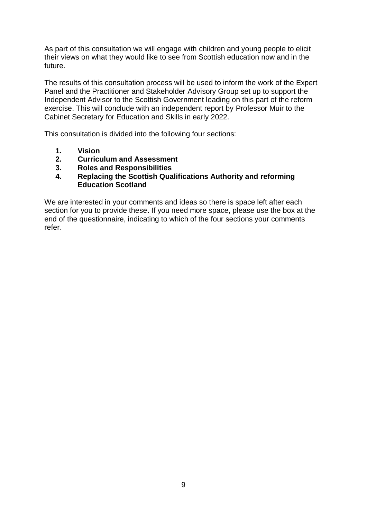As part of this consultation we will engage with children and young people to elicit their views on what they would like to see from Scottish education now and in the future.

The results of this consultation process will be used to inform the work of the Expert Panel and the Practitioner and Stakeholder Advisory Group set up to support the Independent Advisor to the Scottish Government leading on this part of the reform exercise. This will conclude with an independent report by Professor Muir to the Cabinet Secretary for Education and Skills in early 2022.

This consultation is divided into the following four sections:

- **1. Vision**
- **2. Curriculum and Assessment**
- **3. Roles and Responsibilities**
- **4. Replacing the Scottish Qualifications Authority and reforming Education Scotland**

We are interested in your comments and ideas so there is space left after each section for you to provide these. If you need more space, please use the box at the end of the questionnaire, indicating to which of the four sections your comments refer.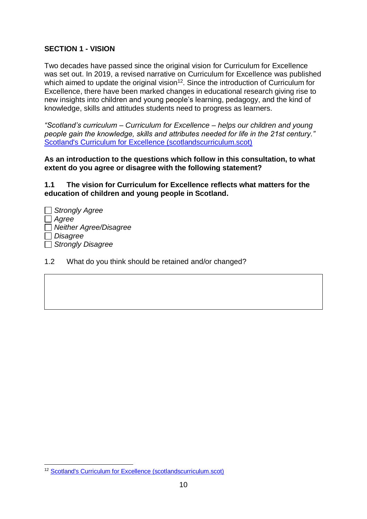# **SECTION 1 - VISION**

Two decades have passed since the original vision for Curriculum for Excellence was set out. In 2019, a revised narrative on Curriculum for Excellence was published which aimed to update the original vision<sup>12</sup>. Since the introduction of Curriculum for Excellence, there have been marked changes in educational research giving rise to new insights into children and young people's learning, pedagogy, and the kind of knowledge, skills and attitudes students need to progress as learners.

*"Scotland's curriculum – Curriculum for Excellence – helps our children and young people gain the knowledge, skills and attributes needed for life in the 21st century."* [Scotland's Curriculum for Excellence \(scotlandscurriculum.scot\)](https://scotlandscurriculum.scot/)

**As an introduction to the questions which follow in this consultation, to what extent do you agree or disagree with the following statement?** 

**1.1 The vision for Curriculum for Excellence reflects what matters for the education of children and young people in Scotland.** 

- *Strongly Agree Agree Neither Agree/Disagree Disagree Strongly Disagree*
- 1.2 What do you think should be retained and/or changed?

<sup>1</sup> <sup>12</sup> [Scotland's Curriculum for Excellence \(scotlandscurriculum.scot\)](https://scotlandscurriculum.scot/)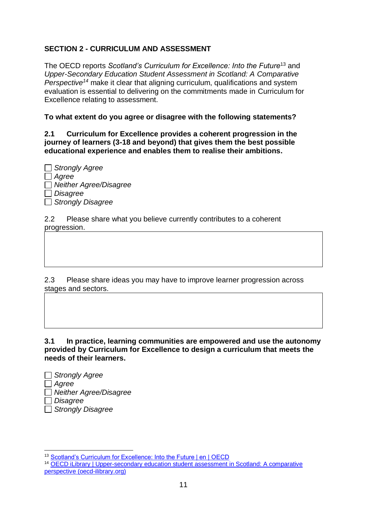# **SECTION 2 - CURRICULUM AND ASSESSMENT**

The OECD reports *Scotland's Curriculum for Excellence: Into the Future*<sup>13</sup> and *Upper-Secondary Education Student Assessment in Scotland: A Comparative Perspective<sup>14</sup>* make it clear that aligning curriculum, qualifications and system evaluation is essential to delivering on the commitments made in Curriculum for Excellence relating to assessment.

#### **To what extent do you agree or disagree with the following statements?**

**2.1 Curriculum for Excellence provides a coherent progression in the journey of learners (3-18 and beyond) that gives them the best possible educational experience and enables them to realise their ambitions.**

| $\Box$ Strongly Agree  |
|------------------------|
| Agree                  |
| Neither Agree/Disagree |
| Disagree               |
| Strongly Disagree      |

2.2 Please share what you believe currently contributes to a coherent progression.

2.3 Please share ideas you may have to improve learner progression across stages and sectors.

**3.1 In practice, learning communities are empowered and use the autonomy provided by Curriculum for Excellence to design a curriculum that meets the needs of their learners.**

| $\Box$ Strongly Agree         |
|-------------------------------|
| $\Box$ Agree                  |
| $\Box$ Neither Agree/Disagree |
| $\Box$ Disagree               |
| $\Box$ Strongly Disagree      |

1

13 [Scotland's Curriculum for Excellence: Into the Future | en | OECD](https://www.oecd.org/education/scotland-s-curriculum-for-excellence-bf624417-en.htm)

<sup>14</sup> [OECD iLibrary | Upper-secondary education student assessment in Scotland: A comparative](https://www.oecd-ilibrary.org/education/upper-secondary-education-student-assessment-in-scotland_d8785ddf-en)  [perspective \(oecd-ilibrary.org\)](https://www.oecd-ilibrary.org/education/upper-secondary-education-student-assessment-in-scotland_d8785ddf-en)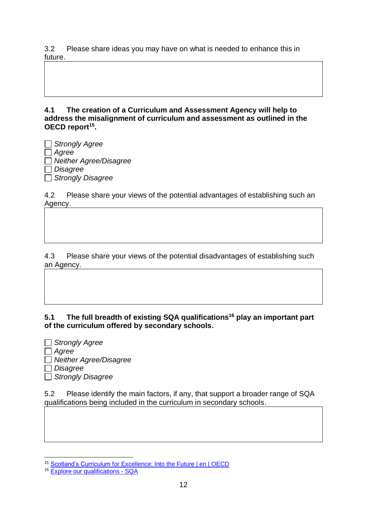3.2 Please share ideas you may have on what is needed to enhance this in future.

**4.1 The creation of a Curriculum and Assessment Agency will help to address the misalignment of curriculum and assessment as outlined in the OECD report<sup>15</sup> .** 

*Strongly Agree Agree Neither Agree/Disagree Disagree Strongly Disagree* 

4.2 Please share your views of the potential advantages of establishing such an Agency.

4.3 Please share your views of the potential disadvantages of establishing such an Agency.

### **5.1 The full breadth of existing SQA qualifications<sup>16</sup> play an important part of the curriculum offered by secondary schools.**

*Strongly Agree Agree Neither Agree/Disagree Disagree Strongly Disagree* 

5.2 Please identify the main factors, if any, that support a broader range of SQA qualifications being included in the curriculum in secondary schools.

<sup>1</sup> 15 [Scotland's Curriculum for Excellence: Into the Future | en | OECD](https://www.oecd.org/education/scotland-s-curriculum-for-excellence-bf624417-en.htm)

<sup>&</sup>lt;sup>16</sup> [Explore our qualifications -](https://www.sqa.org.uk/sqa/80336.html) SQA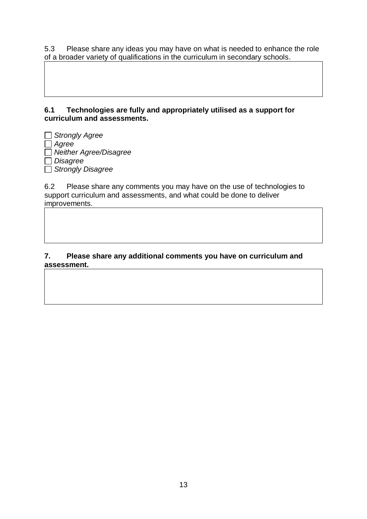5.3 Please share any ideas you may have on what is needed to enhance the role of a broader variety of qualifications in the curriculum in secondary schools.

#### **6.1 Technologies are fully and appropriately utilised as a support for curriculum and assessments.**

*Strongly Agree Agree Neither Agree/Disagree Disagree Strongly Disagree* 

6.2 Please share any comments you may have on the use of technologies to support curriculum and assessments, and what could be done to deliver improvements.

#### **7. Please share any additional comments you have on curriculum and assessment.**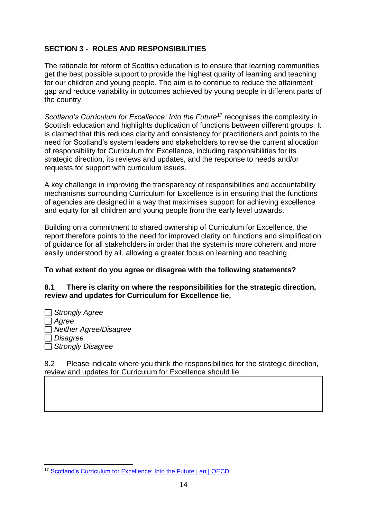# **SECTION 3 - ROLES AND RESPONSIBILITIES**

The rationale for reform of Scottish education is to ensure that learning communities get the best possible support to provide the highest quality of learning and teaching for our children and young people. The aim is to continue to reduce the attainment gap and reduce variability in outcomes achieved by young people in different parts of the country.

*Scotland's Curriculum for Excellence: Into the Future<sup>17</sup> recognises the complexity in* Scottish education and highlights duplication of functions between different groups. It is claimed that this reduces clarity and consistency for practitioners and points to the need for Scotland's system leaders and stakeholders to revise the current allocation of responsibility for Curriculum for Excellence, including responsibilities for its strategic direction, its reviews and updates, and the response to needs and/or requests for support with curriculum issues.

A key challenge in improving the transparency of responsibilities and accountability mechanisms surrounding Curriculum for Excellence is in ensuring that the functions of agencies are designed in a way that maximises support for achieving excellence and equity for all children and young people from the early level upwards.

Building on a commitment to shared ownership of Curriculum for Excellence, the report therefore points to the need for improved clarity on functions and simplification of guidance for all stakeholders in order that the system is more coherent and more easily understood by all, allowing a greater focus on learning and teaching.

### **To what extent do you agree or disagree with the following statements?**

#### **8.1 There is clarity on where the responsibilities for the strategic direction, review and updates for Curriculum for Excellence lie.**

*Strongly Agree Agree Neither Agree/Disagree Disagree Strongly Disagree* 

8.2 Please indicate where you think the responsibilities for the strategic direction, review and updates for Curriculum for Excellence should lie.

<sup>1</sup> <sup>17</sup> Scotland's Curriculum [for Excellence: Into the Future | en | OECD](https://www.oecd.org/education/scotland-s-curriculum-for-excellence-bf624417-en.htm)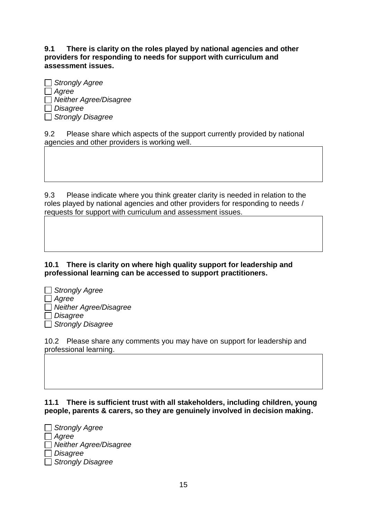**9.1 There is clarity on the roles played by national agencies and other providers for responding to needs for support with curriculum and assessment issues.**

| Strongly Agree                  |
|---------------------------------|
| $\Box$ Agree                    |
| <b>J</b> Neither Agree/Disagree |
| $\Box$ Disagree                 |
| Strongly Disagree               |

9.2 Please share which aspects of the support currently provided by national agencies and other providers is working well.

9.3 Please indicate where you think greater clarity is needed in relation to the roles played by national agencies and other providers for responding to needs / requests for support with curriculum and assessment issues.

**10.1 There is clarity on where high quality support for leadership and professional learning can be accessed to support practitioners.**

| $\Box$ Strongly Agree         |
|-------------------------------|
| $\Box$ Agree                  |
| $\Box$ Neither Agree/Disagree |
| $\Box$ Disagree               |
|                               |

*Strongly Disagree* 

10.2 Please share any comments you may have on support for leadership and professional learning.

**11.1 There is sufficient trust with all stakeholders, including children, young people, parents & carers, so they are genuinely involved in decision making.**

| $\Box$ Strongly Agree         |  |
|-------------------------------|--|
| $\Box$ Agree                  |  |
| $\Box$ Neither Agree/Disagree |  |
| $\Box$ Disagree               |  |
| $\Box$ Strongly Disagree      |  |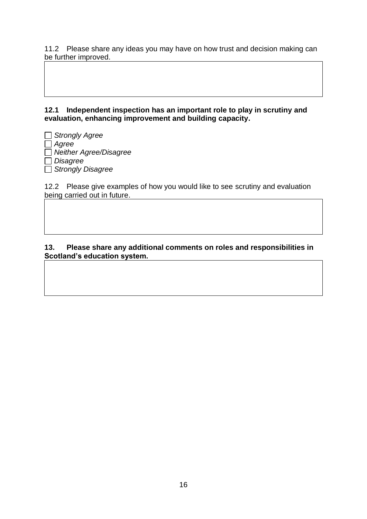11.2 Please share any ideas you may have on how trust and decision making can be further improved.

**12.1 Independent inspection has an important role to play in scrutiny and evaluation, enhancing improvement and building capacity.**

*Strongly Agree Agree Neither Agree/Disagree Disagree Strongly Disagree* 

12.2 Please give examples of how you would like to see scrutiny and evaluation being carried out in future.

#### **13. Please share any additional comments on roles and responsibilities in Scotland's education system.**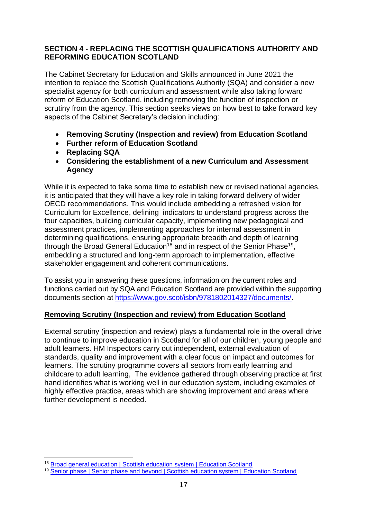#### **SECTION 4 - REPLACING THE SCOTTISH QUALIFICATIONS AUTHORITY AND REFORMING EDUCATION SCOTLAND**

The Cabinet Secretary for Education and Skills announced in June 2021 the intention to replace the Scottish Qualifications Authority (SQA) and consider a new specialist agency for both curriculum and assessment while also taking forward reform of Education Scotland, including removing the function of inspection or scrutiny from the agency. This section seeks views on how best to take forward key aspects of the Cabinet Secretary's decision including:

- **Removing Scrutiny (Inspection and review) from Education Scotland**
- **Further reform of Education Scotland**
- **Replacing SQA**
- **Considering the establishment of a new Curriculum and Assessment Agency**

While it is expected to take some time to establish new or revised national agencies, it is anticipated that they will have a key role in taking forward delivery of wider OECD recommendations. This would include embedding a refreshed vision for Curriculum for Excellence, defining indicators to understand progress across the four capacities, building curricular capacity, implementing new pedagogical and assessment practices, implementing approaches for internal assessment in determining qualifications, ensuring appropriate breadth and depth of learning through the Broad General Education<sup>18</sup> and in respect of the Senior Phase<sup>19</sup>, embedding a structured and long-term approach to implementation, effective stakeholder engagement and coherent communications.

To assist you in answering these questions, information on the current roles and functions carried out by SQA and Education Scotland are provided within the supporting documents section at [https://www.gov.scot/isbn/9781802014327/documents/.](https://www.gov.scot/isbn/9781802014327/documents/)

### **Removing Scrutiny (Inspection and review) from Education Scotland**

External scrutiny (inspection and review) plays a fundamental role in the overall drive to continue to improve education in Scotland for all of our children, young people and adult learners. HM Inspectors carry out independent, external evaluation of standards, quality and improvement with a clear focus on impact and outcomes for learners. The scrutiny programme covers all sectors from early learning and childcare to adult learning, The evidence gathered through observing practice at first hand identifies what is working well in our education system, including examples of highly effective practice, areas which are showing improvement and areas where further development is needed.

<sup>&</sup>lt;sup>18</sup> [Broad general education | Scottish education system | Education Scotland](https://education.gov.scot/education-scotland/scottish-education-system/broad-general-education/)

<sup>19</sup> [Senior phase | Senior phase and beyond | Scottish education system | Education Scotland](https://education.gov.scot/education-scotland/scottish-education-system/senior-phase-and-beyond/senior-phase/)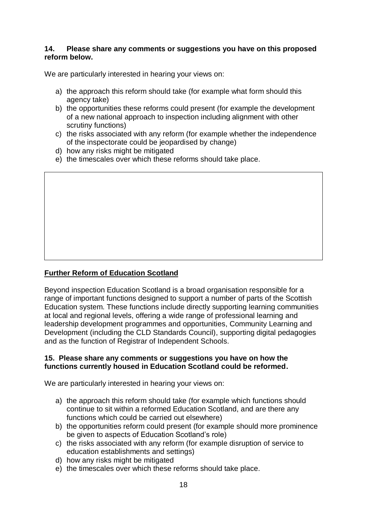#### **14. Please share any comments or suggestions you have on this proposed reform below.**

We are particularly interested in hearing your views on:

- a) the approach this reform should take (for example what form should this agency take)
- b) the opportunities these reforms could present (for example the development of a new national approach to inspection including alignment with other scrutiny functions)
- c) the risks associated with any reform (for example whether the independence of the inspectorate could be jeopardised by change)
- d) how any risks might be mitigated
- e) the timescales over which these reforms should take place.

# **Further Reform of Education Scotland**

Beyond inspection Education Scotland is a broad organisation responsible for a range of important functions designed to support a number of parts of the Scottish Education system. These functions include directly supporting learning communities at local and regional levels, offering a wide range of professional learning and leadership development programmes and opportunities, Community Learning and Development (including the CLD Standards Council), supporting digital pedagogies and as the function of Registrar of Independent Schools.

#### **15. Please share any comments or suggestions you have on how the functions currently housed in Education Scotland could be reformed.**

We are particularly interested in hearing your views on:

- a) the approach this reform should take (for example which functions should continue to sit within a reformed Education Scotland, and are there any functions which could be carried out elsewhere)
- b) the opportunities reform could present (for example should more prominence be given to aspects of Education Scotland's role)
- c) the risks associated with any reform (for example disruption of service to education establishments and settings)
- d) how any risks might be mitigated
- e) the timescales over which these reforms should take place.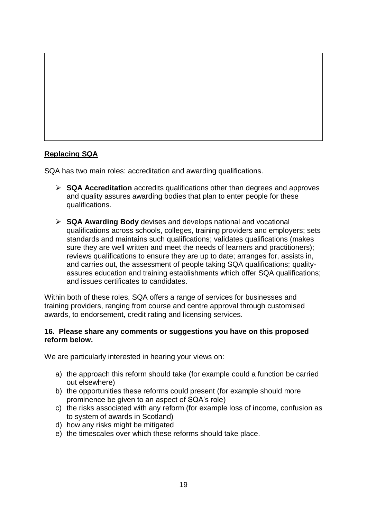

# **Replacing SQA**

SQA has two main roles: accreditation and awarding qualifications.

- ➢ **SQA Accreditation** accredits qualifications other than degrees and approves and quality assures awarding bodies that plan to enter people for these qualifications.
- ➢ **SQA Awarding Body** devises and develops national and vocational qualifications across schools, colleges, training providers and employers; sets standards and maintains such qualifications; validates qualifications (makes sure they are well written and meet the needs of learners and practitioners); reviews qualifications to ensure they are up to date; arranges for, assists in, and carries out, the assessment of people taking SQA qualifications; qualityassures education and training establishments which offer SQA qualifications; and issues certificates to candidates.

Within both of these roles, SQA offers a range of services for businesses and training providers, ranging from course and centre approval through customised awards, to endorsement, credit rating and licensing services.

#### **16. Please share any comments or suggestions you have on this proposed reform below.**

We are particularly interested in hearing your views on:

- a) the approach this reform should take (for example could a function be carried out elsewhere)
- b) the opportunities these reforms could present (for example should more prominence be given to an aspect of SQA's role)
- c) the risks associated with any reform (for example loss of income, confusion as to system of awards in Scotland)
- d) how any risks might be mitigated
- e) the timescales over which these reforms should take place.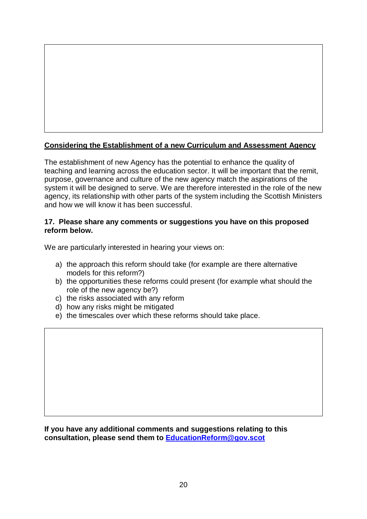# **Considering the Establishment of a new Curriculum and Assessment Agency**

The establishment of new Agency has the potential to enhance the quality of teaching and learning across the education sector. It will be important that the remit, purpose, governance and culture of the new agency match the aspirations of the system it will be designed to serve. We are therefore interested in the role of the new agency, its relationship with other parts of the system including the Scottish Ministers and how we will know it has been successful.

#### **17. Please share any comments or suggestions you have on this proposed reform below.**

We are particularly interested in hearing your views on:

- a) the approach this reform should take (for example are there alternative models for this reform?)
- b) the opportunities these reforms could present (for example what should the role of the new agency be?)
- c) the risks associated with any reform
- d) how any risks might be mitigated
- e) the timescales over which these reforms should take place.

**If you have any additional comments and suggestions relating to this consultation, please send them to [EducationReform@gov.scot](mailto:EducationReform@gov.scot)**